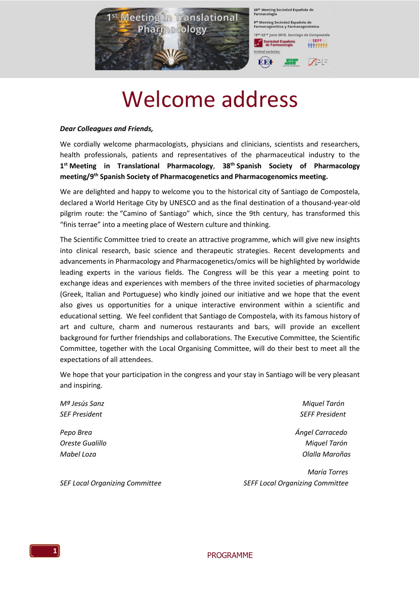

## Welcome address

### *Dear Colleagues and Friends,*

We cordially welcome pharmacologists, physicians and clinicians, scientists and researchers, health professionals, patients and representatives of the pharmaceutical industry to the **1 st Meeting in Translational Pharmacology**, **38th Spanish Society of Pharmacology meeting/9th Spanish Society of Pharmacogenetics and Pharmacogenomics meeting.** 

We are delighted and happy to welcome you to the historical city of Santiago de Compostela, declared a World Heritage City by UNESCO and as the final destination of a thousand-year-old pilgrim route: the "Camino of Santiago" which, since the 9th century, has transformed this "finis terrae" into a meeting place of Western culture and thinking.

The Scientific Committee tried to create an attractive programme, which will give new insights into clinical research, basic science and therapeutic strategies. Recent developments and advancements in Pharmacology and Pharmacogenetics/omics will be highlighted by worldwide leading experts in the various fields. The Congress will be this year a meeting point to exchange ideas and experiences with members of the three invited societies of pharmacology (Greek, Italian and Portuguese) who kindly joined our initiative and we hope that the event also gives us opportunities for a unique interactive environment within a scientific and educational setting. We feel confident that Santiago de Compostela, with its famous history of art and culture, charm and numerous restaurants and bars, will provide an excellent background for further friendships and collaborations. The Executive Committee, the Scientific Committee, together with the Local Organising Committee, will do their best to meet all the expectations of all attendees.

We hope that your participation in the congress and your stay in Santiago will be very pleasant and inspiring.

*Mª Jesús Sanz Miquel Tarón SEF President SEFF President* 

*Pepo Brea Ángel Carracedo Oreste Gualillo Miquel Tarón Mabel Loza Olalla Maroñas*

 *María Torres SEF Local Organizing Committee SEFF Local Organizing Committee*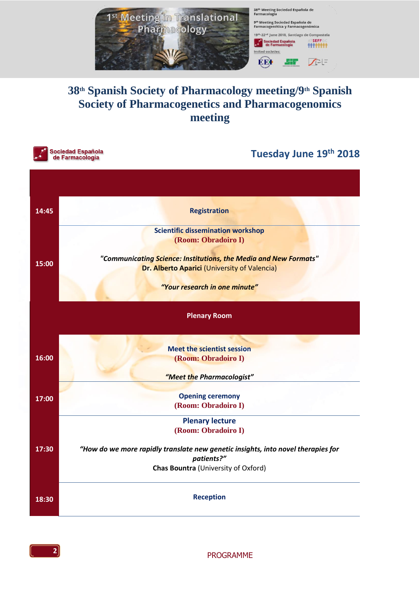

### **38th Spanish Society of Pharmacology meeting/9th Spanish Society of Pharmacogenetics and Pharmacogenomics meeting**



### **Tuesday June 19 th 2018**

| 14:45 | <b>Registration</b>                                                                                              |
|-------|------------------------------------------------------------------------------------------------------------------|
|       | <b>Scientific dissemination workshop</b><br>(Room: Obradoiro I)                                                  |
| 15:00 | "Communicating Science: Institutions, the Media and New Formats"<br>Dr. Alberto Aparici (University of Valencia) |
|       | "Your research in one minute"                                                                                    |
|       | <b>Plenary Room</b>                                                                                              |
|       | <b>Meet the scientist session</b>                                                                                |
| 16:00 | (Room: Obradoiro I)                                                                                              |
|       | "Meet the Pharmacologist"                                                                                        |
| 17:00 | <b>Opening ceremony</b><br>(Room: Obradoiro I)                                                                   |
|       | <b>Plenary lecture</b>                                                                                           |
|       | (Room: Obradoiro I)                                                                                              |
| 17:30 | "How do we more rapidly translate new genetic insights, into novel therapies for<br>patients?"                   |
|       | Chas Bountra (University of Oxford)                                                                              |
| 18:30 | <b>Reception</b>                                                                                                 |

**2**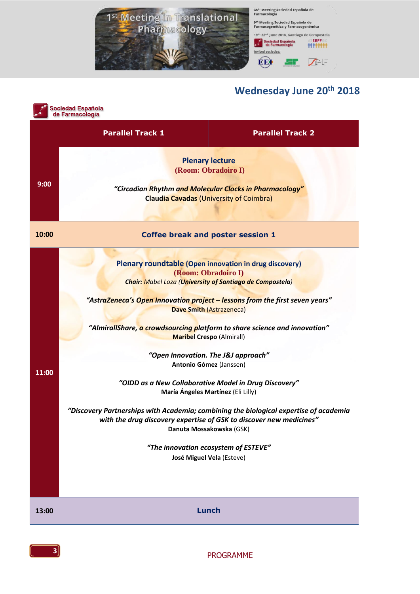

### **Wednesday June 20 th 2018**

| Sociedad Española<br>de Farmacología |                                                                     |                                                                                                                                                                                                                                                                                                                                                                                                                                                                                                                                                                                                                                                                                                                                   |
|--------------------------------------|---------------------------------------------------------------------|-----------------------------------------------------------------------------------------------------------------------------------------------------------------------------------------------------------------------------------------------------------------------------------------------------------------------------------------------------------------------------------------------------------------------------------------------------------------------------------------------------------------------------------------------------------------------------------------------------------------------------------------------------------------------------------------------------------------------------------|
|                                      | <b>Parallel Track 1</b>                                             | <b>Parallel Track 2</b>                                                                                                                                                                                                                                                                                                                                                                                                                                                                                                                                                                                                                                                                                                           |
| 9:00                                 |                                                                     | <b>Plenary lecture</b><br>(Room: Obradoiro I)<br>"Circadian Rhythm and Molecular Clocks in Pharmacology"<br><b>Claudia Cavadas (University of Coimbra)</b>                                                                                                                                                                                                                                                                                                                                                                                                                                                                                                                                                                        |
| 10:00                                |                                                                     | <b>Coffee break and poster session 1</b>                                                                                                                                                                                                                                                                                                                                                                                                                                                                                                                                                                                                                                                                                          |
| 11:00                                | with the drug discovery expertise of GSK to discover new medicines" | Plenary roundtable (Open innovation in drug discovery)<br>(Room: Obradoiro I)<br>Chair: Mabel Loza (University of Santiago de Compostela)<br>"AstraZeneca's Open Innovation project – lessons from the first seven years"<br>Dave Smith (Astrazeneca)<br>"AlmirallShare, a crowdsourcing platform to share science and innovation"<br><b>Maribel Crespo (Almirall)</b><br>"Open Innovation. The J&J approach"<br>Antonio Gómez (Janssen)<br>"OIDD as a New Collaborative Model in Drug Discovery"<br>María Ángeles Martínez (Eli Lilly)<br>"Discovery Partnerships with Academia; combining the biological expertise of academia<br>Danuta Mossakowska (GSK)<br>"The innovation ecosystem of ESTEVE"<br>José Miguel Vela (Esteve) |
| 13:00                                |                                                                     | <b>Lunch</b>                                                                                                                                                                                                                                                                                                                                                                                                                                                                                                                                                                                                                                                                                                                      |
|                                      |                                                                     |                                                                                                                                                                                                                                                                                                                                                                                                                                                                                                                                                                                                                                                                                                                                   |

**3** PROGRAMME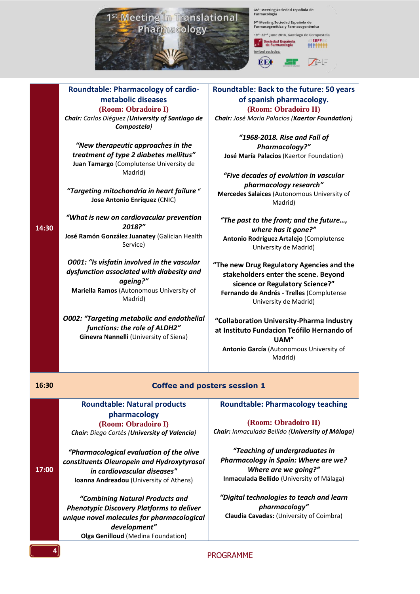

**Roundtable: Pharmacology of cardio-**

38<sup>th</sup> Meeting Sociedad Española de<br>Farmacología 9<sup>th</sup> Meeting Sociedad Española de<br>Farmacogenética y Farmacogenómica

**SEFF** Sociedad Española<br>de Farmacología **\*\*\*\*\*\*\*\*** Invited societies: EE<sub>!</sub>  $\sqrt{2}$ ┖┼┤┓

-<br>22<sup>nd</sup> June 2018, Santiago de Compostela

**metabolic diseases (Room: Obradoiro I)** *Chair: Carlos Diéguez (University of Santiago de Compostela) "New therapeutic approaches in the treatment of type 2 diabetes mellitus"* **Juan Tamargo** (Complutense University de Madrid) *"Targeting mitochondria in heart failure* **" Jose Antonio Enríquez** (CNIC) *"What is new on cardiovacular prevention 2018?"* **José Ramón González Juanatey** (Galician Health Service) *O001: "Is visfatin involved in the vascular dysfunction associated with diabesity and ageing?"* **Mariella Ramos** (Autonomous University of Madrid)

*O002: "Targeting metabolic and endothelial functions: the role of ALDH2"* **Ginevra Nannelli** (University of Siena)

### **Roundtable: Back to the future: 50 years of spanish pharmacology. (Room: Obradoiro II)**

*Chair: José María Palacios (Kaertor Foundation)*

*"1968-2018. Rise and Fall of Pharmacology?"* **José María Palacios** (Kaertor Foundation)

*"Five decades of evolution in vascular pharmacology research"* **Mercedes Salaices** (Autonomous University of

Madrid)

*"The past to the front; and the future…, where has it gone?"* **Antonio Rodríguez Artalejo** (Complutense University de Madrid)

**"The new Drug Regulatory Agencies and the stakeholders enter the scene. Beyond sicence or Regulatory Science?" Fernando de Andrés - Trelles** (Complutense University de Madrid)

**"Collaboration University-Pharma Industry at Instituto Fundacion Teófilo Hernando of UAM" Antonio García** (Autonomous University of Madrid)

**17:00**

**14:30**

### **16:30 Coffee and posters session 1**

**Roundtable: Natural products pharmacology (Room: Obradoiro I)**

*Chair: Diego Cortés (University of Valencia) "Pharmacological evaluation of the olive* 

*constituents Oleuropein and Hydroxytyrosol in cardiovascular diseases"* **Ioanna Andreadou** (University of Athens)

*"Combining Natural Products and Phenotypic Discovery Platforms to deliver unique novel molecules for pharmacological development"* **Olga Genilloud** (Medina Foundation)

**Roundtable: Pharmacology teaching**

**(Room: Obradoiro II)** *Chair: Inmaculada Bellido (University of Málaga)*

*"Teaching of undergraduates in Pharmacology in Spain: Where are we? Where are we going?"* **Inmaculada Bellido** (University of Málaga)

*"Digital technologies to teach and learn pharmacology"* **Claudia Cavadas:** (University of Coimbra)

PROGRAMME **<sup>4</sup>**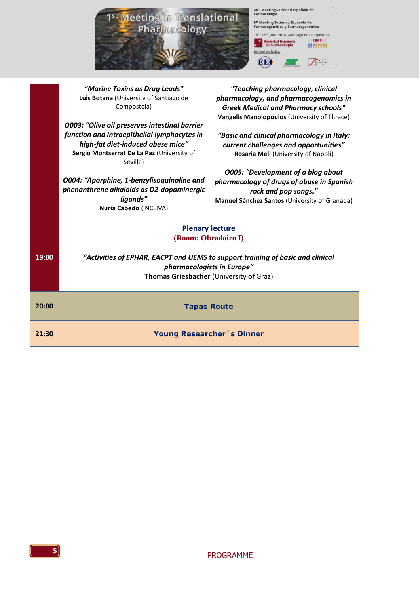|       | 1 <sup>st</sup> Meeting in Translational<br><b>Pharmacology</b>                                                                            | 38th Meeting Sociedad Española de<br>Farmacología<br>9th Meeting Sociedad Española de<br>Farmacogenética y Farmacogenómica<br>19th-22nd June 2018, Santiago de Compostela<br>ATSEFF<br><b>Sociedad Española</b><br>de Farmacología<br>Invited societies:<br>۵HF<br>$\bigwedge^{\sim}$ =<br><b>BB</b> |
|-------|--------------------------------------------------------------------------------------------------------------------------------------------|------------------------------------------------------------------------------------------------------------------------------------------------------------------------------------------------------------------------------------------------------------------------------------------------------|
|       | "Marine Toxins as Drug Leads"                                                                                                              | "Teaching pharmacology, clinical                                                                                                                                                                                                                                                                     |
|       | Luis Botana (University of Santiago de<br>Compostela)                                                                                      | pharmacology, and pharmacogenomics in<br><b>Greek Medical and Pharmacy schools"</b><br>Vangelis Manolopoulos (University of Thrace)                                                                                                                                                                  |
|       | O003: "Olive oil preserves intestinal barrier                                                                                              |                                                                                                                                                                                                                                                                                                      |
|       | function and intraepithelial lymphocytes in<br>high-fat diet-induced obese mice"<br>Sergio Montserrat De La Paz (University of<br>Seville) | "Basic and clinical pharmacology in Italy:<br>current challenges and opportunities"<br>Rosaria Meli (University of Napoli)                                                                                                                                                                           |
|       | O004: "Aporphine, 1-benzylisoquinoline and<br>phenanthrene alkaloids as D2-dopaminergic<br>ligands"<br>Nuria Cabedo (INCLIVA)              | <b>O005: "Development of a blog about</b><br>pharmacology of drugs of abuse in Spanish<br>rock and pop songs."<br>Manuel Sánchez Santos (University of Granada)                                                                                                                                      |
|       | <b>Plenary lecture</b>                                                                                                                     |                                                                                                                                                                                                                                                                                                      |
|       | (Room: Obradoiro I)                                                                                                                        |                                                                                                                                                                                                                                                                                                      |
| 19:00 | pharmacologists in Europe"<br>Thomas Griesbacher (University of Graz)                                                                      | "Activities of EPHAR, EACPT and UEMS to support training of basic and clinical                                                                                                                                                                                                                       |
| 20:00 | <b>Tapas Route</b>                                                                                                                         |                                                                                                                                                                                                                                                                                                      |
|       |                                                                                                                                            |                                                                                                                                                                                                                                                                                                      |

**21:30 Young Researcher´s Dinner**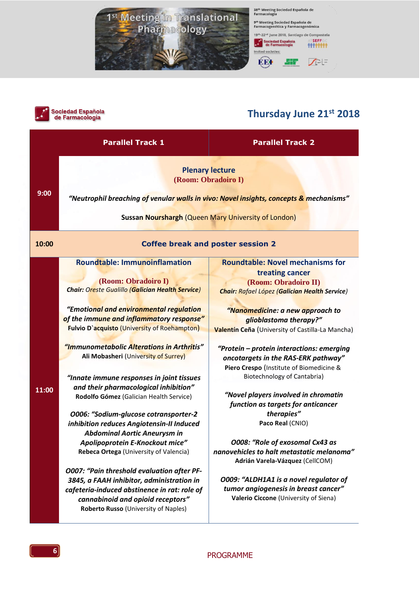



### **Thursday June 21st 2018**

|       | <b>Parallel Track 1</b>                                                                                                                                                                                                                                                                                                                                                                                                                                                                                                                                                                                                                                                                                                                                                                                                                                                                                                       | <b>Parallel Track 2</b>                                                                                                                                                                                                                                                                                                                                                                                                                                                                                                                                                                                                                                                                                                                                                                  |  |
|-------|-------------------------------------------------------------------------------------------------------------------------------------------------------------------------------------------------------------------------------------------------------------------------------------------------------------------------------------------------------------------------------------------------------------------------------------------------------------------------------------------------------------------------------------------------------------------------------------------------------------------------------------------------------------------------------------------------------------------------------------------------------------------------------------------------------------------------------------------------------------------------------------------------------------------------------|------------------------------------------------------------------------------------------------------------------------------------------------------------------------------------------------------------------------------------------------------------------------------------------------------------------------------------------------------------------------------------------------------------------------------------------------------------------------------------------------------------------------------------------------------------------------------------------------------------------------------------------------------------------------------------------------------------------------------------------------------------------------------------------|--|
| 9:00  |                                                                                                                                                                                                                                                                                                                                                                                                                                                                                                                                                                                                                                                                                                                                                                                                                                                                                                                               | <b>Plenary lecture</b><br>(Room: Obradoiro I)<br>"Neutrophil breaching of venula <mark>r walls in vivo: Novel insights, concepts &amp;</mark> mechanisms"<br>Sussan Nourshargh (Queen Mary University of London)                                                                                                                                                                                                                                                                                                                                                                                                                                                                                                                                                                         |  |
| 10:00 | <b>Coffee break and poster session 2</b>                                                                                                                                                                                                                                                                                                                                                                                                                                                                                                                                                                                                                                                                                                                                                                                                                                                                                      |                                                                                                                                                                                                                                                                                                                                                                                                                                                                                                                                                                                                                                                                                                                                                                                          |  |
| 11:00 | <b>Roundtable: Immunoinflamation</b><br>(Room: Obradoiro I)<br><b>Chair: Oreste Gualillo (Galician Health Service)</b><br>"Emotional and environmental regulation<br>of the immune and inflammatory response"<br>Fulvio D'acquisto (University of Roehampton)<br>"Immunometabolic Alterations in Arthritis"<br>Ali Mobasheri (University of Surrey)<br>"Innate immune responses in joint tissues<br>and their pharmacological inhibition"<br>Rodolfo Gómez (Galician Health Service)<br>O006: "Sodium-glucose cotransporter-2<br>inhibition reduces Angiotensin-II Induced<br><b>Abdominal Aortic Aneurysm in</b><br>Apolipoprotein E-Knockout mice"<br>Rebeca Ortega (University of Valencia)<br><b>O007: "Pain threshold evaluation after PF-</b><br>3845, a FAAH inhibitor, administration in<br>cafeteria-induced abstinence in rat: role of<br>cannabinoid and opioid receptors"<br>Roberto Russo (University of Naples) | <b>Roundtable: Novel mechanisms for</b><br>treating cancer<br>(Room: Obradoiro II)<br><b>Chair: Rafael López (Galician Health Service)</b><br>"Nanomedicine: a new approach to<br>glioblastoma therapy?"<br>Valentín Ceña (University of Castilla-La Mancha)<br>"Protein - protein interactions: emerging<br>oncotargets in the RAS-ERK pathway"<br>Piero Crespo (Institute of Biomedicine &<br>Biotechnology of Cantabria)<br>"Novel players involved in chromatin<br>function as targets for anticancer<br>therapies"<br>Paco Real (CNIO)<br>O008: "Role of exosomal Cx43 as<br>nanovehicles to halt metastatic melanoma<br>Adrián Varela-Vázquez (CellCOM)<br>O009: "ALDH1A1 is a novel regulator of<br>tumor angiogenesis in breast cancer"<br>Valerio Ciccone (University of Siena) |  |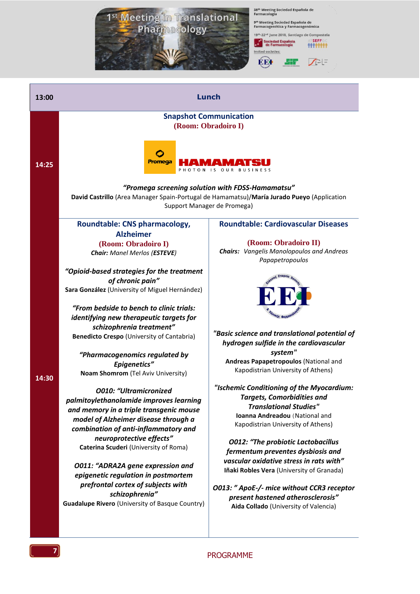

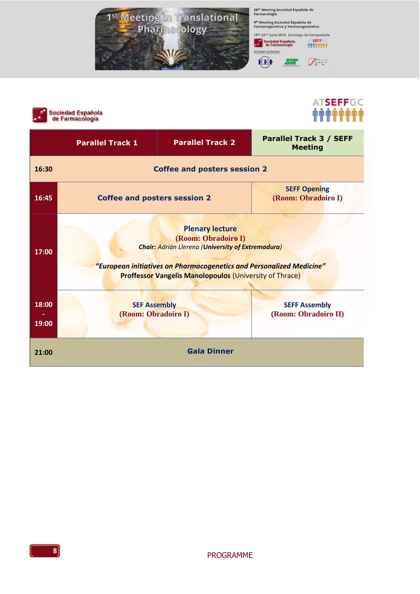





|                | <b>Parallel Track 1</b>                                                                                                                                                                                                                             | <b>Parallel Track 2</b> | <b>Parallel Track 3 / SEFF</b><br><b>Meeting</b> |
|----------------|-----------------------------------------------------------------------------------------------------------------------------------------------------------------------------------------------------------------------------------------------------|-------------------------|--------------------------------------------------|
| 16:30          | <b>Coffee and posters session 2</b>                                                                                                                                                                                                                 |                         |                                                  |
| 16:45          | <b>SEFF Opening</b><br><b>Coffee and posters session 2</b><br>(Room: Obradoiro I)                                                                                                                                                                   |                         |                                                  |
| 17:00          | <b>Plenary lecture</b><br>(Room: Obradoiro I)<br><b>Chair: Adrián Llerena (University of Extremadura)</b><br>"European initiatives on Pharmacogenetics and Personalized Medicine"<br><b>Proffessor Vangelis Manolopoulos (University of Thrace)</b> |                         |                                                  |
| 18:00<br>19:00 | <b>SEF Assembly</b><br>(Room: Obradoiro I)                                                                                                                                                                                                          |                         | <b>SEFF Assembly</b><br>(Room: Obradoiro II)     |
| 21:00          |                                                                                                                                                                                                                                                     | <b>Gala Dinner</b>      |                                                  |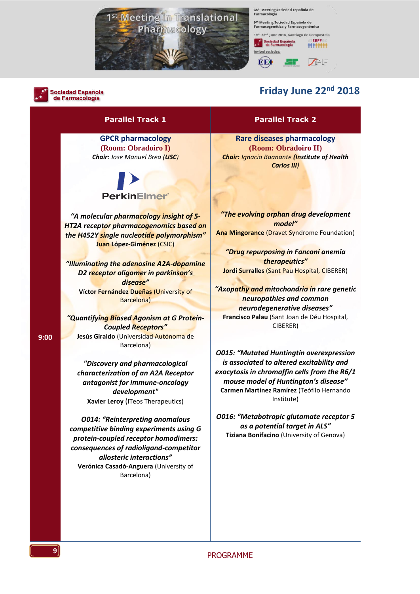

38<sup>th</sup> Meeting Sociedad Española de<br>Farmacología

9<sup>th</sup> Meeting Sociedad Española de<br>Farmacogenética y Farmacogenómica 19th-22nd June 2018, Santiago de Compostela

**SIF** 

Sociedad Española<br>de Farmacología

**EEI** 



**Sociedad Española** de Farmacología

### **Friday June 22<sup>nd</sup> 2018**

**SEFF** 

\*\*\*\*\*\*\*\*

 $\sqrt{2}$ 

**Parallel Track 1 Parallel Track 2**

**GPCR pharmacology (Room: Obradoiro I)** *Chair: Jose Manuel Brea (USC)*

## **PerkinElmer**

*"A molecular pharmacology insight of 5- HT2A receptor pharmacogenomics based on the H452Y single nucleotide polymorphism"* **Juan López-Giménez** (CSIC)

*"Illuminating the adenosine A2A-dopamine D2 receptor oligomer in parkinson's disease"* **Víctor Fernández Dueñas** (University of Barcelona)

*"Quantifying Biased Agonism at G Protein-Coupled Receptors"* **Jesús Giraldo** (Universidad Autónoma de Barcelona)

*"Discovery and pharmacological characterization of an A2A Receptor antagonist for immune-oncology development"* **Xavier Leroy** (ITeos Therapeutics)

*O014: "Reinterpreting anomalous competitive binding experiments using G protein-coupled receptor homodimers: consequences of radioligand-competitor allosteric interactions"* **Verónica Casadó-Anguera** (University of Barcelona)

**Rare diseases pharmacology (Room: Obradoiro II)** *Chair: Ignacio Baanante (Institute of Health Carlos III)*

*"The evolving orphan drug development model"* **Ana Mingorance** (Dravet Syndrome Foundation)

*"Drug repurposing in Fanconi anemia therapeutics"* **Jordi Surralles** (Sant Pau Hospital, CIBERER)

*"Axopathy and mitochondria in rare genetic neuropathies and common neurodegenerative diseases"* **Francisco Palau** (Sant Joan de Déu Hospital, CIBERER)

*O015: "Mutated Huntingtin overexpression is associated to altered excitability and exocytosis in chromaffin cells from the R6/1 mouse model of Huntington's disease"* **Carmen Martínez Ramírez** (Teófilo Hernando Institute)

*O016: "Metabotropic glutamate receptor 5 as a potential target in ALS"* **Tiziana Bonifacino** (University of Genova)

**9:00**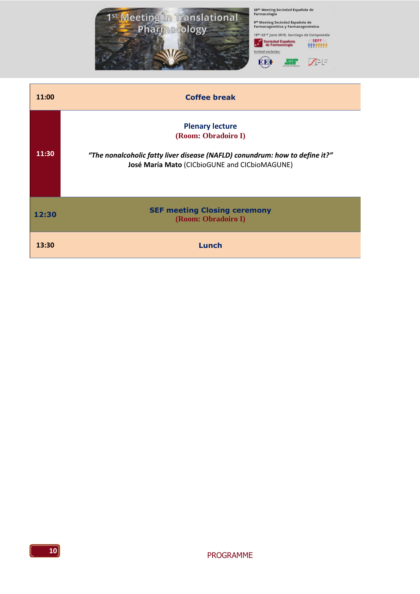

| 11:00 | <b>Coffee break</b>                                                                                                                                                           |
|-------|-------------------------------------------------------------------------------------------------------------------------------------------------------------------------------|
| 11:30 | <b>Plenary lecture</b><br>(Room: Obradoiro I)<br>"The nonalcoholic fatty liver disease (NAFLD) conundrum: how to define it?"<br>José María Mato (CICbioGUNE and CICbioMAGUNE) |
| 12:30 | <b>SEF meeting Closing ceremony</b><br>(Room: Obradoiro I)                                                                                                                    |
| 13:30 | Lunch                                                                                                                                                                         |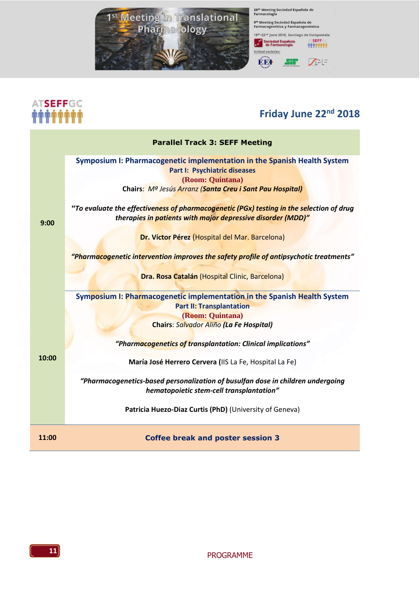

### ATSEFFGC *MANAHAN*

### **Friday June 22<sup>nd</sup> 2018**

|       | <b>Parallel Track 3: SEFF Meeting</b>                                                                                                                                                           |  |
|-------|-------------------------------------------------------------------------------------------------------------------------------------------------------------------------------------------------|--|
| 9:00  | Symposium I: Pharmacogenetic implementation in the Spanish Health System<br><b>Part I: Psychiatric diseases</b><br>(Room: Quintana)<br>Chairs: Mª Jesús Arranz (Santa Creu i Sant Pau Hospital) |  |
|       | "To evaluate the effectiveness of pharmacogenetic (PGx) testing in the selection of drug<br>therapies in patients with major depressive disorder (MDD)"                                         |  |
|       | Dr. Víctor Pérez (Hospital del Mar. Barcelona)                                                                                                                                                  |  |
|       | "Pharmacogenetic intervention improves the safety profile of antipsychotic treatments"                                                                                                          |  |
|       | Dra. Rosa Catalán (Hospital Clinic, Barcelona)                                                                                                                                                  |  |
|       | Symposium I: Pharmacogenetic implementation in the Spanish Health System                                                                                                                        |  |
|       | <b>Part II: Transplantation</b>                                                                                                                                                                 |  |
|       | (Room: Quintana)                                                                                                                                                                                |  |
|       | Chairs: Salvador Aliño (La Fe Hospital)                                                                                                                                                         |  |
|       | "Pharmacogenetics of transplantation: Clinical implications"                                                                                                                                    |  |
| 10:00 | María José Herrero Cervera (IIS La Fe, Hospital La Fe)                                                                                                                                          |  |
|       | "Pharmacogenetics-based personalization of busulfan dose in children undergoing<br>hematopoietic stem-cell transplantation"                                                                     |  |
|       | Patricia Huezo-Diaz Curtis (PhD) (University of Geneva)                                                                                                                                         |  |
| 11:00 | <b>Coffee break and poster session 3</b>                                                                                                                                                        |  |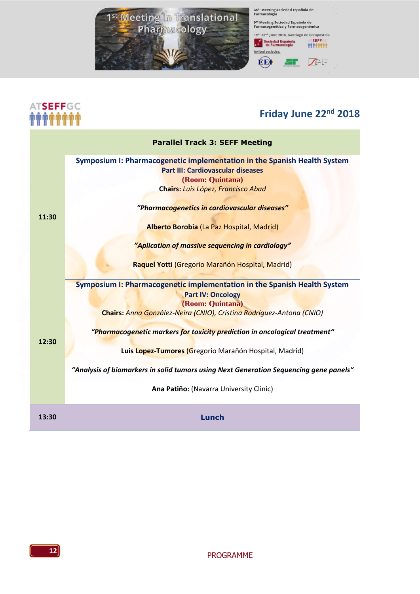

### ATSEFFGC **MANAMAN**

### **Friday June 22<sup>nd</sup> 2018**

|       | <b>Parallel Track 3: SEFF Meeting</b>                                                                                                    |
|-------|------------------------------------------------------------------------------------------------------------------------------------------|
| 11:30 | Symposium I: Pharmacogenetic implementation in the Spanish Health System<br><b>Part III: Cardiovascular diseases</b><br>(Room: Quintana) |
|       | Chairs: Luis López, Francisco Abad                                                                                                       |
|       | "Pharmacogenetics in cardiovascular diseases"                                                                                            |
|       | Alberto Borobia (La Paz Hospital, Madrid)                                                                                                |
|       | "Aplication of massive sequencing in cardiology"                                                                                         |
|       | Raquel Yotti (Gregorio Marañón Hospital, Madrid)                                                                                         |
|       | Symposium I: Pharmacogenetic implementation in the Spanish Health System<br><b>Part IV: Oncology</b>                                     |
|       | (Room: Quintana)<br>Chairs: Anna González-Neira (CNIO), Cristina Rodríguez-Antona (CNIO)                                                 |
| 12:30 | "Pharmacogenetic markers for toxicity prediction in oncological treatment"                                                               |
|       | Luis Lopez-Tumores (Gregorio Marañón Hospital, Madrid)                                                                                   |
|       | "Analysis of biomarkers in solid tumors using Next Generation Sequencing gene panels"                                                    |
|       | Ana Patiño: (Navarra University Clinic)                                                                                                  |
| 13:30 | Lunch                                                                                                                                    |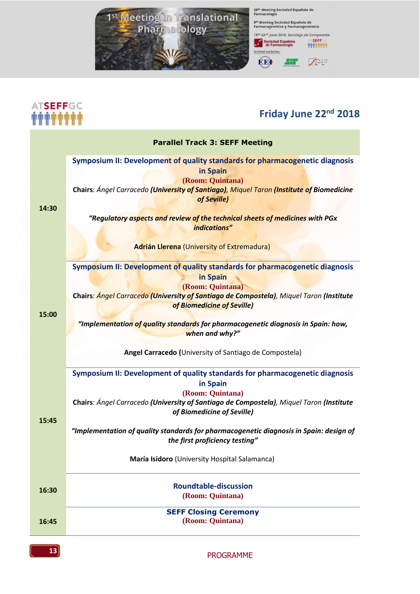

# **ATSEFFGC**<br><del>MMMMMMMM</del>

### **Friday June 22<sup>nd</sup> 2018**

|       | <b>Parallel Track 3: SEFF Meeting</b>                                                                                                                                                                                                                                                                                                                                                                                |
|-------|----------------------------------------------------------------------------------------------------------------------------------------------------------------------------------------------------------------------------------------------------------------------------------------------------------------------------------------------------------------------------------------------------------------------|
| 14:30 | Symposium II: Development of quality standards for pharmacogenetic diagnosis<br>in Spain<br>(Room: Quintana)<br>Chairs: Ángel Carracedo (University of Santiago), Miquel Taron (Institute of Biomedicine<br>of Seville)<br>"Regulatory aspects and review of the technical sheets of medicines with PGx<br>indications"                                                                                              |
|       | Adrián Llerena (University of Extremadura)                                                                                                                                                                                                                                                                                                                                                                           |
| 15:00 | Symposium II: Development of quality standards for pharmacogenetic diagnosis<br>in Spain<br>(Room: Quintana)<br>Chairs: Angel Carracedo (University of Santiago de Compostela), Miquel Taron (Institute<br>of Biomedicine of Seville)<br>"Implementation <mark>of quality standard</mark> s for pharmacogenetic diagnosis in Spain: how,<br>when and why?"<br>Angel Carracedo (University of Santiago de Compostela) |
| 15:45 | Symposium II: Development of quality standards for pharmacogenetic diagnosis<br>in Spain<br>(Room: Quintana)<br>Chairs: Ángel Carracedo (University of Santiago de Compostela), Miquel Taron (Institute<br>of Biomedicine of Seville)<br>"Implementation of quality standards for pharmacogenetic diagnosis in Spain: design of<br>the first proficiency testing"<br>María Isidoro (University Hospital Salamanca)   |
| 16:30 | <b>Roundtable-discussion</b><br>(Room: Quintana)                                                                                                                                                                                                                                                                                                                                                                     |
| 16:45 | <b>SEFF Closing Ceremony</b><br>(Room: Quintana)                                                                                                                                                                                                                                                                                                                                                                     |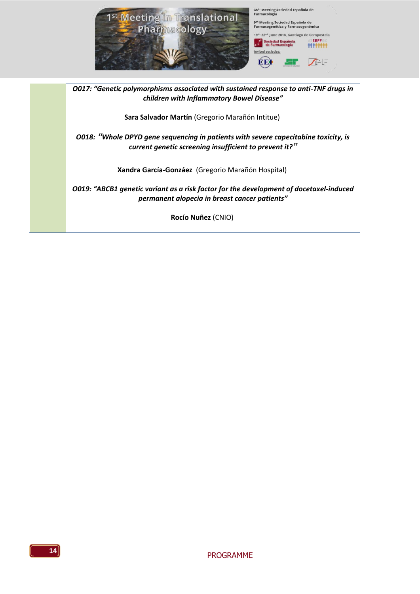

*O017: "Genetic polymorphisms associated with sustained response to anti-TNF drugs in children with Inflammatory Bowel Disease"*

**Sara Salvador Martín** (Gregorio Marañón Intitue)

*O018: "Whole DPYD gene sequencing in patients with severe capecitabine toxicity, is current genetic screening insufficient to prevent it?"*

**Xandra García-Gonzáez** (Gregorio Marañón Hospital)

*O019: "ABCB1 genetic variant as a risk factor for the development of docetaxel-induced permanent alopecia in breast cancer patients"*

**Rocío Nuñez** (CNIO)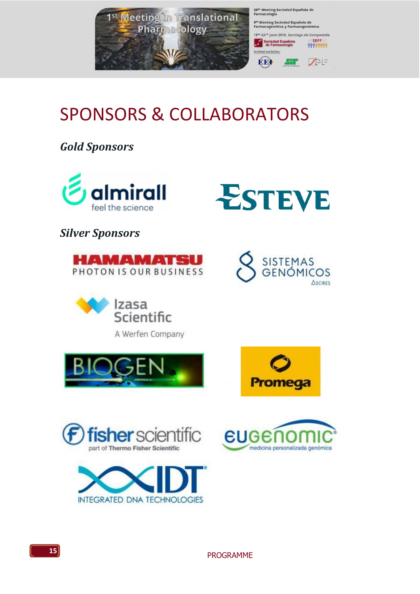

### SPONSORS & COLLABORATORS

*Gold Sponsors*





*Silver Sponsors*

















**15**